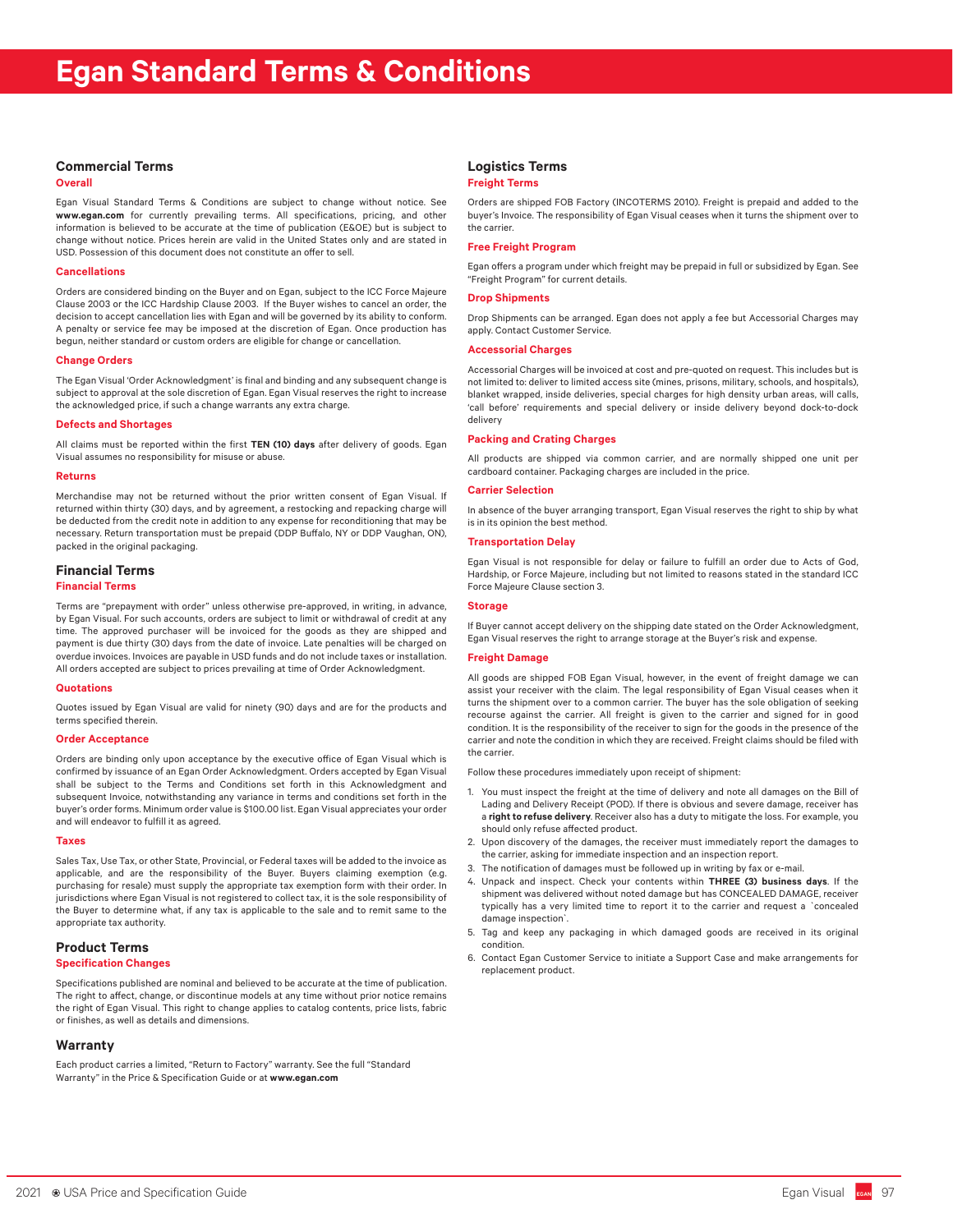# **Commercial Terms**

### **Overall**

Egan Visual Standard Terms & Conditions are subject to change without notice. See **www.egan.com** for currently prevailing terms. All specifications, pricing, and other information is believed to be accurate at the time of publication (E&OE) but is subject to change without notice. Prices herein are valid in the United States only and are stated in USD. Possession of this document does not constitute an offer to sell.

## **Cancellations**

Orders are considered binding on the Buyer and on Egan, subject to the ICC Force Majeure Clause 2003 or the ICC Hardship Clause 2003. If the Buyer wishes to cancel an order, the decision to accept cancellation lies with Egan and will be governed by its ability to conform. A penalty or service fee may be imposed at the discretion of Egan. Once production has begun, neither standard or custom orders are eligible for change or cancellation.

### **Change Orders**

The Egan Visual 'Order Acknowledgment' is final and binding and any subsequent change is subject to approval at the sole discretion of Egan. Egan Visual reserves the right to increase the acknowledged price, if such a change warrants any extra charge.

# **Defects and Shortages**

All claims must be reported within the first **TEN (10) days** after delivery of goods. Egan Visual assumes no responsibility for misuse or abuse.

### **Returns**

Merchandise may not be returned without the prior written consent of Egan Visual. If returned within thirty (30) days, and by agreement, a restocking and repacking charge will be deducted from the credit note in addition to any expense for reconditioning that may be necessary. Return transportation must be prepaid (DDP Buffalo, NY or DDP Vaughan, ON), packed in the original packaging.

# **Financial Terms**

## **Financial Terms**

Terms are "prepayment with order" unless otherwise pre-approved, in writing, in advance, by Egan Visual. For such accounts, orders are subject to limit or withdrawal of credit at any time. The approved purchaser will be invoiced for the goods as they are shipped and payment is due thirty (30) days from the date of invoice. Late penalties will be charged on overdue invoices. Invoices are payable in USD funds and do not include taxes or installation. All orders accepted are subject to prices prevailing at time of Order Acknowledgment.

## **Quotations**

Quotes issued by Egan Visual are valid for ninety (90) days and are for the products and terms specified therein.

### **Order Acceptance**

Orders are binding only upon acceptance by the executive office of Egan Visual which is confirmed by issuance of an Egan Order Acknowledgment. Orders accepted by Egan Visual shall be subject to the Terms and Conditions set forth in this Acknowledgment and subsequent Invoice, notwithstanding any variance in terms and conditions set forth in the buyer's order forms. Minimum order value is \$100.00 list. Egan Visual appreciates your order and will endeavor to fulfill it as agreed.

#### **Taxes**

Sales Tax, Use Tax, or other State, Provincial, or Federal taxes will be added to the invoice as applicable, and are the responsibility of the Buyer. Buyers claiming exemption (e.g. purchasing for resale) must supply the appropriate tax exemption form with their order. In jurisdictions where Egan Visual is not registered to collect tax, it is the sole responsibility of the Buyer to determine what, if any tax is applicable to the sale and to remit same to the appropriate tax authority.

# **Product Terms**

# **Specification Changes**

Specifications published are nominal and believed to be accurate at the time of publication. The right to affect, change, or discontinue models at any time without prior notice remains the right of Egan Visual. This right to change applies to catalog contents, price lists, fabric or finishes, as well as details and dimensions.

## **Warranty**

Each product carries a limited, "Return to Factory" warranty. See the full "Standard Warranty" in the Price & Specification Guide or at **www.egan.com**

# **Logistics Terms**

### **Freight Terms**

Orders are shipped FOB Factory (INCOTERMS 2010). Freight is prepaid and added to the buyer's Invoice. The responsibility of Egan Visual ceases when it turns the shipment over to the carrier.

# **Free Freight Program**

Egan offers a program under which freight may be prepaid in full or subsidized by Egan. See "Freight Program" for current details.

# **Drop Shipments**

Drop Shipments can be arranged. Egan does not apply a fee but Accessorial Charges may apply. Contact Customer Service.

# **Accessorial Charges**

Accessorial Charges will be invoiced at cost and pre-quoted on request. This includes but is not limited to: deliver to limited access site (mines, prisons, military, schools, and hospitals), blanket wrapped, inside deliveries, special charges for high density urban areas, will calls, 'call before' requirements and special delivery or inside delivery beyond dock-to-dock delivery

## **Packing and Crating Charges**

All products are shipped via common carrier, and are normally shipped one unit per cardboard container. Packaging charges are included in the price.

## **Carrier Selection**

In absence of the buyer arranging transport, Egan Visual reserves the right to ship by what is in its opinion the best method.

# **Transportation Delay**

Egan Visual is not responsible for delay or failure to fulfill an order due to Acts of God, Hardship, or Force Majeure, including but not limited to reasons stated in the standard ICC Force Majeure Clause section 3.

#### **Storage**

If Buyer cannot accept delivery on the shipping date stated on the Order Acknowledgment, Egan Visual reserves the right to arrange storage at the Buyer's risk and expense.

# **Freight Damage**

All goods are shipped FOB Egan Visual, however, in the event of freight damage we can assist your receiver with the claim. The legal responsibility of Egan Visual ceases when it turns the shipment over to a common carrier. The buyer has the sole obligation of seeking recourse against the carrier. All freight is given to the carrier and signed for in good condition. It is the responsibility of the receiver to sign for the goods in the presence of the carrier and note the condition in which they are received. Freight claims should be filed with the carrier.

Follow these procedures immediately upon receipt of shipment:

- 1. You must inspect the freight at the time of delivery and note all damages on the Bill of Lading and Delivery Receipt (POD). If there is obvious and severe damage, receiver has a **right to refuse delivery**. Receiver also has a duty to mitigate the loss. For example, you should only refuse affected product.
- 2. Upon discovery of the damages, the receiver must immediately report the damages to the carrier, asking for immediate inspection and an inspection report.
- 3. The notification of damages must be followed up in writing by fax or e-mail.
- 4. Unpack and inspect. Check your contents within **THREE (3) business days**. If the shipment was delivered without noted damage but has CONCEALED DAMAGE, receiver typically has a very limited time to report it to the carrier and request a `concealed damage inspection`.
- 5. Tag and keep any packaging in which damaged goods are received in its original condition.
- 6. Contact Egan Customer Service to initiate a Support Case and make arrangements for replacement product.